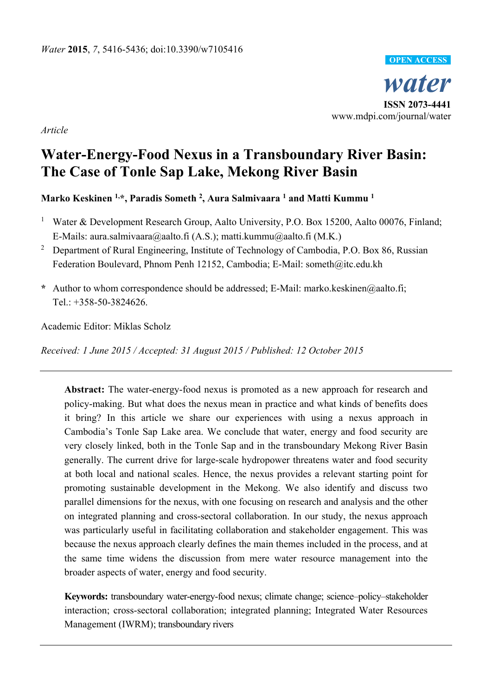

*Article* 

# **Water-Energy-Food Nexus in a Transboundary River Basin: The Case of Tonle Sap Lake, Mekong River Basin**

# **Marko Keskinen 1,\*, Paradis Someth 2 , Aura Salmivaara 1 and Matti Kummu 1**

- 1 Water & Development Research Group, Aalto University, P.O. Box 15200, Aalto 00076, Finland; E-Mails: aura.salmivaara@aalto.fi (A.S.); matti.kummu@aalto.fi (M.K.)
- 2 Department of Rural Engineering, Institute of Technology of Cambodia, P.O. Box 86, Russian Federation Boulevard, Phnom Penh 12152, Cambodia; E-Mail: someth@itc.edu.kh
- **\*** Author to whom correspondence should be addressed; E-Mail: marko.keskinen@aalto.fi; Tel.: +358-50-3824626.

Academic Editor: Miklas Scholz

*Received: 1 June 2015 / Accepted: 31 August 2015 / Published: 12 October 2015* 

**Abstract:** The water-energy-food nexus is promoted as a new approach for research and policy-making. But what does the nexus mean in practice and what kinds of benefits does it bring? In this article we share our experiences with using a nexus approach in Cambodia's Tonle Sap Lake area. We conclude that water, energy and food security are very closely linked, both in the Tonle Sap and in the transboundary Mekong River Basin generally. The current drive for large-scale hydropower threatens water and food security at both local and national scales. Hence, the nexus provides a relevant starting point for promoting sustainable development in the Mekong. We also identify and discuss two parallel dimensions for the nexus, with one focusing on research and analysis and the other on integrated planning and cross-sectoral collaboration. In our study, the nexus approach was particularly useful in facilitating collaboration and stakeholder engagement. This was because the nexus approach clearly defines the main themes included in the process, and at the same time widens the discussion from mere water resource management into the broader aspects of water, energy and food security.

**Keywords:** transboundary water-energy-food nexus; climate change; science–policy–stakeholder interaction; cross-sectoral collaboration; integrated planning; Integrated Water Resources Management (IWRM); transboundary rivers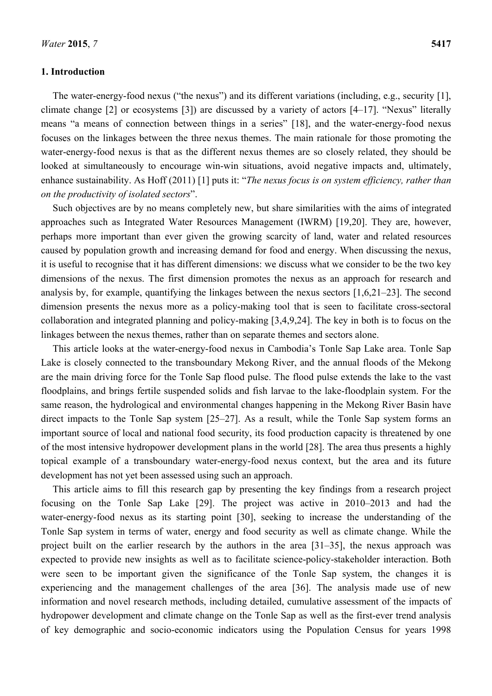#### **1. Introduction**

The water-energy-food nexus ("the nexus") and its different variations (including, e.g., security [1], climate change [2] or ecosystems [3]) are discussed by a variety of actors [4–17]. "Nexus" literally means "a means of connection between things in a series" [18], and the water-energy-food nexus focuses on the linkages between the three nexus themes. The main rationale for those promoting the water-energy-food nexus is that as the different nexus themes are so closely related, they should be looked at simultaneously to encourage win-win situations, avoid negative impacts and, ultimately, enhance sustainability. As Hoff (2011) [1] puts it: "*The nexus focus is on system efficiency, rather than on the productivity of isolated sectors*".

Such objectives are by no means completely new, but share similarities with the aims of integrated approaches such as Integrated Water Resources Management (IWRM) [19,20]. They are, however, perhaps more important than ever given the growing scarcity of land, water and related resources caused by population growth and increasing demand for food and energy. When discussing the nexus, it is useful to recognise that it has different dimensions: we discuss what we consider to be the two key dimensions of the nexus. The first dimension promotes the nexus as an approach for research and analysis by, for example, quantifying the linkages between the nexus sectors [1,6,21–23]. The second dimension presents the nexus more as a policy-making tool that is seen to facilitate cross-sectoral collaboration and integrated planning and policy-making [3,4,9,24]. The key in both is to focus on the linkages between the nexus themes, rather than on separate themes and sectors alone.

This article looks at the water-energy-food nexus in Cambodia's Tonle Sap Lake area. Tonle Sap Lake is closely connected to the transboundary Mekong River, and the annual floods of the Mekong are the main driving force for the Tonle Sap flood pulse. The flood pulse extends the lake to the vast floodplains, and brings fertile suspended solids and fish larvae to the lake-floodplain system. For the same reason, the hydrological and environmental changes happening in the Mekong River Basin have direct impacts to the Tonle Sap system [25–27]. As a result, while the Tonle Sap system forms an important source of local and national food security, its food production capacity is threatened by one of the most intensive hydropower development plans in the world [28]. The area thus presents a highly topical example of a transboundary water-energy-food nexus context, but the area and its future development has not yet been assessed using such an approach.

This article aims to fill this research gap by presenting the key findings from a research project focusing on the Tonle Sap Lake [29]. The project was active in 2010–2013 and had the water-energy-food nexus as its starting point [30], seeking to increase the understanding of the Tonle Sap system in terms of water, energy and food security as well as climate change. While the project built on the earlier research by the authors in the area [31–35], the nexus approach was expected to provide new insights as well as to facilitate science-policy-stakeholder interaction. Both were seen to be important given the significance of the Tonle Sap system, the changes it is experiencing and the management challenges of the area [36]. The analysis made use of new information and novel research methods, including detailed, cumulative assessment of the impacts of hydropower development and climate change on the Tonle Sap as well as the first-ever trend analysis of key demographic and socio-economic indicators using the Population Census for years 1998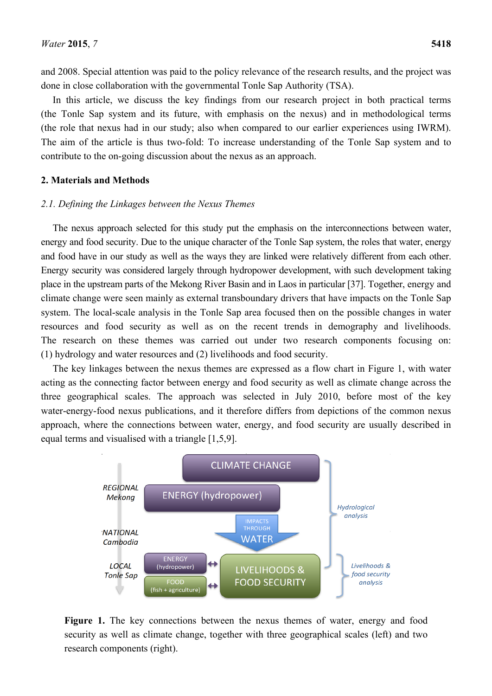and 2008. Special attention was paid to the policy relevance of the research results, and the project was done in close collaboration with the governmental Tonle Sap Authority (TSA).

In this article, we discuss the key findings from our research project in both practical terms (the Tonle Sap system and its future, with emphasis on the nexus) and in methodological terms (the role that nexus had in our study; also when compared to our earlier experiences using IWRM). The aim of the article is thus two-fold: To increase understanding of the Tonle Sap system and to contribute to the on-going discussion about the nexus as an approach.

#### **2. Materials and Methods**

#### *2.1. Defining the Linkages between the Nexus Themes*

The nexus approach selected for this study put the emphasis on the interconnections between water, energy and food security. Due to the unique character of the Tonle Sap system, the roles that water, energy and food have in our study as well as the ways they are linked were relatively different from each other. Energy security was considered largely through hydropower development, with such development taking place in the upstream parts of the Mekong River Basin and in Laos in particular [37]. Together, energy and climate change were seen mainly as external transboundary drivers that have impacts on the Tonle Sap system. The local-scale analysis in the Tonle Sap area focused then on the possible changes in water resources and food security as well as on the recent trends in demography and livelihoods. The research on these themes was carried out under two research components focusing on: (1) hydrology and water resources and (2) livelihoods and food security.

The key linkages between the nexus themes are expressed as a flow chart in Figure 1, with water acting as the connecting factor between energy and food security as well as climate change across the three geographical scales. The approach was selected in July 2010, before most of the key water-energy-food nexus publications, and it therefore differs from depictions of the common nexus approach, where the connections between water, energy, and food security are usually described in equal terms and visualised with a triangle [1,5,9].



**Figure 1.** The key connections between the nexus themes of water, energy and food security as well as climate change, together with three geographical scales (left) and two research components (right).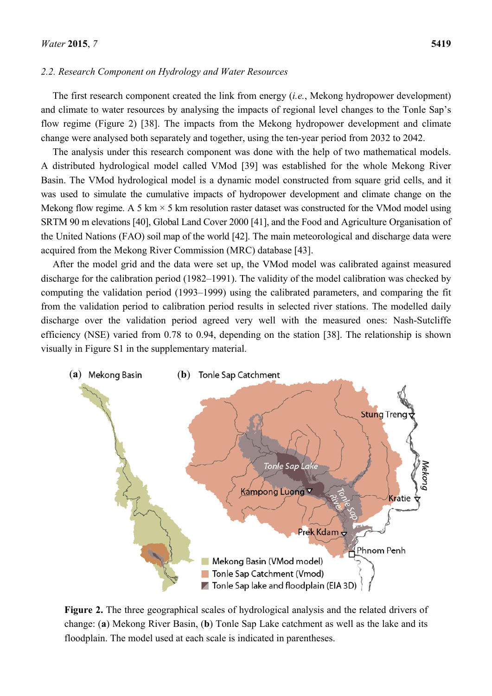#### *2.2. Research Component on Hydrology and Water Resources*

The first research component created the link from energy (*i.e.*, Mekong hydropower development) and climate to water resources by analysing the impacts of regional level changes to the Tonle Sap's flow regime (Figure 2) [38]. The impacts from the Mekong hydropower development and climate change were analysed both separately and together, using the ten-year period from 2032 to 2042.

The analysis under this research component was done with the help of two mathematical models. A distributed hydrological model called VMod [39] was established for the whole Mekong River Basin. The VMod hydrological model is a dynamic model constructed from square grid cells, and it was used to simulate the cumulative impacts of hydropower development and climate change on the Mekong flow regime. A 5 km  $\times$  5 km resolution raster dataset was constructed for the VMod model using SRTM 90 m elevations [40], Global Land Cover 2000 [41], and the Food and Agriculture Organisation of the United Nations (FAO) soil map of the world [42]. The main meteorological and discharge data were acquired from the Mekong River Commission (MRC) database [43].

After the model grid and the data were set up, the VMod model was calibrated against measured discharge for the calibration period (1982–1991). The validity of the model calibration was checked by computing the validation period (1993–1999) using the calibrated parameters, and comparing the fit from the validation period to calibration period results in selected river stations. The modelled daily discharge over the validation period agreed very well with the measured ones: Nash-Sutcliffe efficiency (NSE) varied from 0.78 to 0.94, depending on the station [38]. The relationship is shown visually in Figure S1 in the supplementary material.



**Figure 2.** The three geographical scales of hydrological analysis and the related drivers of change: (**a**) Mekong River Basin, (**b**) Tonle Sap Lake catchment as well as the lake and its floodplain. The model used at each scale is indicated in parentheses.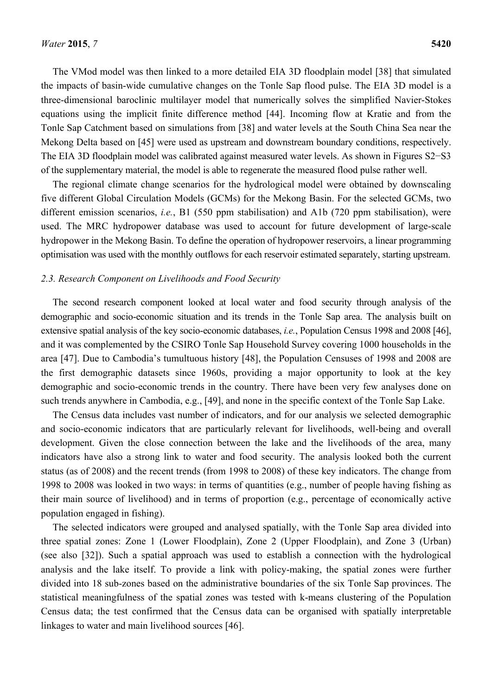The VMod model was then linked to a more detailed EIA 3D floodplain model [38] that simulated the impacts of basin-wide cumulative changes on the Tonle Sap flood pulse. The EIA 3D model is a three-dimensional baroclinic multilayer model that numerically solves the simplified Navier-Stokes equations using the implicit finite difference method [44]. Incoming flow at Kratie and from the Tonle Sap Catchment based on simulations from [38] and water levels at the South China Sea near the Mekong Delta based on [45] were used as upstream and downstream boundary conditions, respectively. The EIA 3D floodplain model was calibrated against measured water levels. As shown in Figures S2−S3 of the supplementary material, the model is able to regenerate the measured flood pulse rather well.

The regional climate change scenarios for the hydrological model were obtained by downscaling five different Global Circulation Models (GCMs) for the Mekong Basin. For the selected GCMs, two different emission scenarios, *i.e.*, B1 (550 ppm stabilisation) and A1b (720 ppm stabilisation), were used. The MRC hydropower database was used to account for future development of large-scale hydropower in the Mekong Basin. To define the operation of hydropower reservoirs, a linear programming optimisation was used with the monthly outflows for each reservoir estimated separately, starting upstream.

#### *2.3. Research Component on Livelihoods and Food Security*

The second research component looked at local water and food security through analysis of the demographic and socio-economic situation and its trends in the Tonle Sap area. The analysis built on extensive spatial analysis of the key socio-economic databases, *i.e.*, Population Census 1998 and 2008 [46], and it was complemented by the CSIRO Tonle Sap Household Survey covering 1000 households in the area [47]. Due to Cambodia's tumultuous history [48], the Population Censuses of 1998 and 2008 are the first demographic datasets since 1960s, providing a major opportunity to look at the key demographic and socio-economic trends in the country. There have been very few analyses done on such trends anywhere in Cambodia, e.g., [49], and none in the specific context of the Tonle Sap Lake.

The Census data includes vast number of indicators, and for our analysis we selected demographic and socio-economic indicators that are particularly relevant for livelihoods, well-being and overall development. Given the close connection between the lake and the livelihoods of the area, many indicators have also a strong link to water and food security. The analysis looked both the current status (as of 2008) and the recent trends (from 1998 to 2008) of these key indicators. The change from 1998 to 2008 was looked in two ways: in terms of quantities (e.g., number of people having fishing as their main source of livelihood) and in terms of proportion (e.g., percentage of economically active population engaged in fishing).

The selected indicators were grouped and analysed spatially, with the Tonle Sap area divided into three spatial zones: Zone 1 (Lower Floodplain), Zone 2 (Upper Floodplain), and Zone 3 (Urban) (see also [32]). Such a spatial approach was used to establish a connection with the hydrological analysis and the lake itself. To provide a link with policy-making, the spatial zones were further divided into 18 sub-zones based on the administrative boundaries of the six Tonle Sap provinces. The statistical meaningfulness of the spatial zones was tested with k-means clustering of the Population Census data; the test confirmed that the Census data can be organised with spatially interpretable linkages to water and main livelihood sources [46].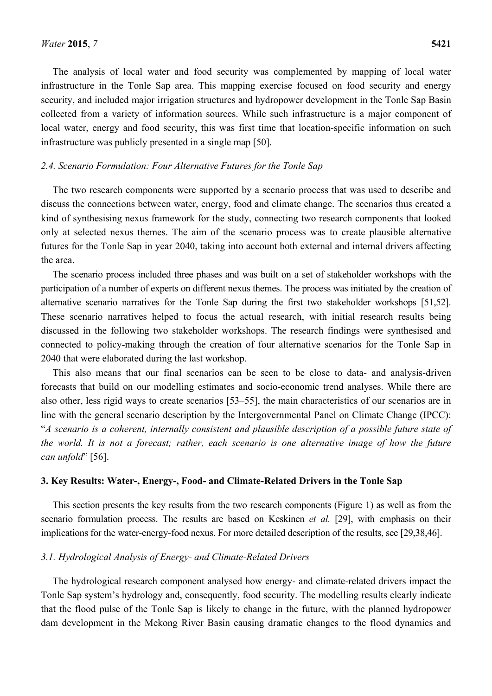The analysis of local water and food security was complemented by mapping of local water infrastructure in the Tonle Sap area. This mapping exercise focused on food security and energy security, and included major irrigation structures and hydropower development in the Tonle Sap Basin collected from a variety of information sources. While such infrastructure is a major component of local water, energy and food security, this was first time that location-specific information on such infrastructure was publicly presented in a single map [50].

#### *2.4. Scenario Formulation: Four Alternative Futures for the Tonle Sap*

The two research components were supported by a scenario process that was used to describe and discuss the connections between water, energy, food and climate change. The scenarios thus created a kind of synthesising nexus framework for the study, connecting two research components that looked only at selected nexus themes. The aim of the scenario process was to create plausible alternative futures for the Tonle Sap in year 2040, taking into account both external and internal drivers affecting the area.

The scenario process included three phases and was built on a set of stakeholder workshops with the participation of a number of experts on different nexus themes. The process was initiated by the creation of alternative scenario narratives for the Tonle Sap during the first two stakeholder workshops [51,52]. These scenario narratives helped to focus the actual research, with initial research results being discussed in the following two stakeholder workshops. The research findings were synthesised and connected to policy-making through the creation of four alternative scenarios for the Tonle Sap in 2040 that were elaborated during the last workshop.

This also means that our final scenarios can be seen to be close to data- and analysis-driven forecasts that build on our modelling estimates and socio-economic trend analyses. While there are also other, less rigid ways to create scenarios [53–55], the main characteristics of our scenarios are in line with the general scenario description by the Intergovernmental Panel on Climate Change (IPCC): "*A scenario is a coherent, internally consistent and plausible description of a possible future state of the world. It is not a forecast; rather, each scenario is one alternative image of how the future can unfold*" [56].

### **3. Key Results: Water-, Energy-, Food- and Climate-Related Drivers in the Tonle Sap**

This section presents the key results from the two research components (Figure 1) as well as from the scenario formulation process. The results are based on Keskinen *et al.* [29], with emphasis on their implications for the water-energy-food nexus. For more detailed description of the results, see [29,38,46].

#### *3.1. Hydrological Analysis of Energy- and Climate-Related Drivers*

The hydrological research component analysed how energy- and climate-related drivers impact the Tonle Sap system's hydrology and, consequently, food security. The modelling results clearly indicate that the flood pulse of the Tonle Sap is likely to change in the future, with the planned hydropower dam development in the Mekong River Basin causing dramatic changes to the flood dynamics and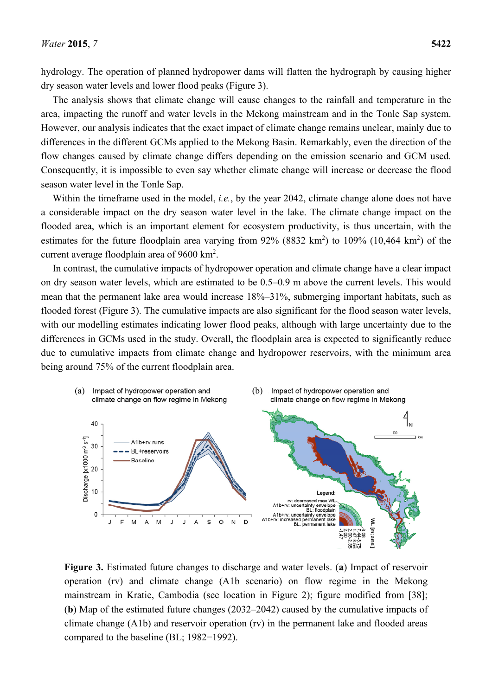hydrology. The operation of planned hydropower dams will flatten the hydrograph by causing higher dry season water levels and lower flood peaks (Figure 3).

The analysis shows that climate change will cause changes to the rainfall and temperature in the area, impacting the runoff and water levels in the Mekong mainstream and in the Tonle Sap system. However, our analysis indicates that the exact impact of climate change remains unclear, mainly due to differences in the different GCMs applied to the Mekong Basin. Remarkably, even the direction of the flow changes caused by climate change differs depending on the emission scenario and GCM used. Consequently, it is impossible to even say whether climate change will increase or decrease the flood season water level in the Tonle Sap.

Within the timeframe used in the model, *i.e.*, by the year 2042, climate change alone does not have a considerable impact on the dry season water level in the lake. The climate change impact on the flooded area, which is an important element for ecosystem productivity, is thus uncertain, with the estimates for the future floodplain area varying from  $92\%$  (8832 km<sup>2</sup>) to 109% (10,464 km<sup>2</sup>) of the current average floodplain area of 9600 km<sup>2</sup>.

In contrast, the cumulative impacts of hydropower operation and climate change have a clear impact on dry season water levels, which are estimated to be 0.5–0.9 m above the current levels. This would mean that the permanent lake area would increase 18%–31%, submerging important habitats, such as flooded forest (Figure 3). The cumulative impacts are also significant for the flood season water levels, with our modelling estimates indicating lower flood peaks, although with large uncertainty due to the differences in GCMs used in the study. Overall, the floodplain area is expected to significantly reduce due to cumulative impacts from climate change and hydropower reservoirs, with the minimum area being around 75% of the current floodplain area.



**Figure 3.** Estimated future changes to discharge and water levels. (**a**) Impact of reservoir operation (rv) and climate change (A1b scenario) on flow regime in the Mekong mainstream in Kratie, Cambodia (see location in Figure 2); figure modified from [38]; (**b**) Map of the estimated future changes (2032–2042) caused by the cumulative impacts of climate change (A1b) and reservoir operation (rv) in the permanent lake and flooded areas compared to the baseline (BL; 1982−1992).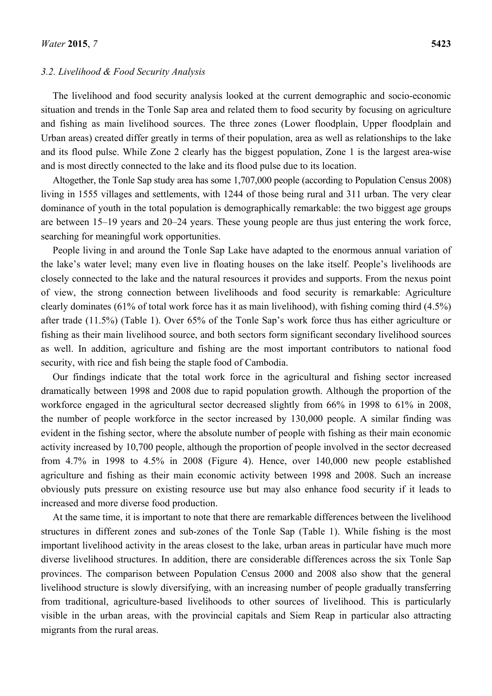#### *3.2. Livelihood & Food Security Analysis*

The livelihood and food security analysis looked at the current demographic and socio-economic situation and trends in the Tonle Sap area and related them to food security by focusing on agriculture and fishing as main livelihood sources. The three zones (Lower floodplain, Upper floodplain and Urban areas) created differ greatly in terms of their population, area as well as relationships to the lake and its flood pulse. While Zone 2 clearly has the biggest population, Zone 1 is the largest area-wise and is most directly connected to the lake and its flood pulse due to its location.

Altogether, the Tonle Sap study area has some 1,707,000 people (according to Population Census 2008) living in 1555 villages and settlements, with 1244 of those being rural and 311 urban. The very clear dominance of youth in the total population is demographically remarkable: the two biggest age groups are between 15–19 years and 20–24 years. These young people are thus just entering the work force, searching for meaningful work opportunities.

People living in and around the Tonle Sap Lake have adapted to the enormous annual variation of the lake's water level; many even live in floating houses on the lake itself. People's livelihoods are closely connected to the lake and the natural resources it provides and supports. From the nexus point of view, the strong connection between livelihoods and food security is remarkable: Agriculture clearly dominates (61% of total work force has it as main livelihood), with fishing coming third (4.5%) after trade (11.5%) (Table 1). Over 65% of the Tonle Sap's work force thus has either agriculture or fishing as their main livelihood source, and both sectors form significant secondary livelihood sources as well. In addition, agriculture and fishing are the most important contributors to national food security, with rice and fish being the staple food of Cambodia.

Our findings indicate that the total work force in the agricultural and fishing sector increased dramatically between 1998 and 2008 due to rapid population growth. Although the proportion of the workforce engaged in the agricultural sector decreased slightly from 66% in 1998 to 61% in 2008, the number of people workforce in the sector increased by 130,000 people. A similar finding was evident in the fishing sector, where the absolute number of people with fishing as their main economic activity increased by 10,700 people, although the proportion of people involved in the sector decreased from 4.7% in 1998 to 4.5% in 2008 (Figure 4). Hence, over 140,000 new people established agriculture and fishing as their main economic activity between 1998 and 2008. Such an increase obviously puts pressure on existing resource use but may also enhance food security if it leads to increased and more diverse food production.

At the same time, it is important to note that there are remarkable differences between the livelihood structures in different zones and sub-zones of the Tonle Sap (Table 1). While fishing is the most important livelihood activity in the areas closest to the lake, urban areas in particular have much more diverse livelihood structures. In addition, there are considerable differences across the six Tonle Sap provinces. The comparison between Population Census 2000 and 2008 also show that the general livelihood structure is slowly diversifying, with an increasing number of people gradually transferring from traditional, agriculture-based livelihoods to other sources of livelihood. This is particularly visible in the urban areas, with the provincial capitals and Siem Reap in particular also attracting migrants from the rural areas.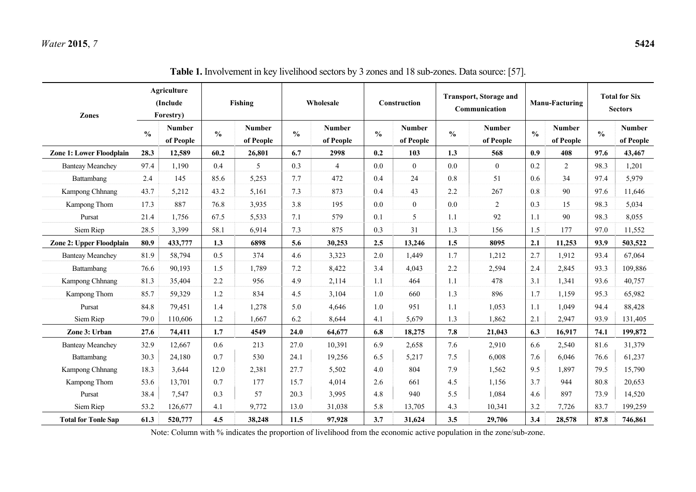| Zones                           | Agriculture<br>(Include<br>Forestry) |                            | Fishing       |                            | Wholesale     |                            | Construction  |                            | <b>Transport, Storage and</b><br>Communication |                            | <b>Manu-Facturing</b> |                            | <b>Total for Six</b><br><b>Sectors</b> |                            |
|---------------------------------|--------------------------------------|----------------------------|---------------|----------------------------|---------------|----------------------------|---------------|----------------------------|------------------------------------------------|----------------------------|-----------------------|----------------------------|----------------------------------------|----------------------------|
|                                 | $\frac{0}{0}$                        | <b>Number</b><br>of People | $\frac{0}{0}$ | <b>Number</b><br>of People | $\frac{0}{0}$ | <b>Number</b><br>of People | $\frac{0}{0}$ | <b>Number</b><br>of People | $\frac{0}{0}$                                  | <b>Number</b><br>of People | $\frac{0}{0}$         | <b>Number</b><br>of People | $\frac{0}{0}$                          | <b>Number</b><br>of People |
| <b>Zone 1: Lower Floodplain</b> | 28.3                                 | 12,589                     | 60.2          | 26,801                     | 6.7           | 2998                       | 0.2           | 103                        | 1.3                                            | 568                        | 0.9                   | 408                        | 97.6                                   | 43,467                     |
| <b>Banteay Meanchey</b>         | 97.4                                 | 1,190                      | 0.4           | 5                          | 0.3           | $\overline{4}$             | 0.0           | $\boldsymbol{0}$           | $0.0\,$                                        | $\boldsymbol{0}$           | 0.2                   | $\overline{c}$             | 98.3                                   | 1,201                      |
| Battambang                      | 2.4                                  | 145                        | 85.6          | 5,253                      | 7.7           | 472                        | 0.4           | 24                         | 0.8                                            | 51                         | 0.6                   | 34                         | 97.4                                   | 5,979                      |
| Kampong Chhnang                 | 43.7                                 | 5,212                      | 43.2          | 5,161                      | 7.3           | 873                        | 0.4           | 43                         | 2.2                                            | 267                        | 0.8                   | 90                         | 97.6                                   | 11,646                     |
| Kampong Thom                    | 17.3                                 | 887                        | 76.8          | 3,935                      | 3.8           | 195                        | 0.0           | $\boldsymbol{0}$           | $0.0\,$                                        | $\overline{2}$             | 0.3                   | 15                         | 98.3                                   | 5,034                      |
| Pursat                          | 21.4                                 | 1,756                      | 67.5          | 5,533                      | 7.1           | 579                        | 0.1           | 5                          | 1.1                                            | 92                         | 1.1                   | 90                         | 98.3                                   | 8,055                      |
| Siem Riep                       | 28.5                                 | 3,399                      | 58.1          | 6,914                      | 7.3           | 875                        | 0.3           | 31                         | 1.3                                            | 156                        | 1.5                   | 177                        | 97.0                                   | 11,552                     |
| <b>Zone 2: Upper Floodplain</b> | 80.9                                 | 433,777                    | 1.3           | 6898                       | 5.6           | 30,253                     | 2.5           | 13,246                     | 1.5                                            | 8095                       | 2.1                   | 11,253                     | 93.9                                   | 503,522                    |
| <b>Banteay Meanchey</b>         | 81.9                                 | 58,794                     | 0.5           | 374                        | 4.6           | 3,323                      | 2.0           | 1,449                      | 1.7                                            | 1,212                      | 2.7                   | 1,912                      | 93.4                                   | 67,064                     |
| Battambang                      | 76.6                                 | 90,193                     | 1.5           | 1,789                      | 7.2           | 8,422                      | 3.4           | 4,043                      | 2.2                                            | 2,594                      | 2.4                   | 2,845                      | 93.3                                   | 109,886                    |
| Kampong Chhnang                 | 81.3                                 | 35,404                     | 2.2           | 956                        | 4.9           | 2,114                      | 1.1           | 464                        | 1.1                                            | 478                        | 3.1                   | 1,341                      | 93.6                                   | 40,757                     |
| Kampong Thom                    | 85.7                                 | 59,329                     | 1.2           | 834                        | 4.5           | 3,104                      | 1.0           | 660                        | 1.3                                            | 896                        | 1.7                   | 1,159                      | 95.3                                   | 65,982                     |
| Pursat                          | 84.8                                 | 79,451                     | 1.4           | 1,278                      | 5.0           | 4,646                      | 1.0           | 951                        | 1.1                                            | 1,053                      | 1.1                   | 1,049                      | 94.4                                   | 88,428                     |
| Siem Riep                       | 79.0                                 | 110,606                    | 1.2           | 1,667                      | 6.2           | 8,644                      | 4.1           | 5,679                      | 1.3                                            | 1,862                      | 2.1                   | 2,947                      | 93.9                                   | 131,405                    |
| Zone 3: Urban                   | 27.6                                 | 74,411                     | 1.7           | 4549                       | 24.0          | 64,677                     | 6.8           | 18,275                     | 7.8                                            | 21,043                     | 6.3                   | 16,917                     | 74.1                                   | 199,872                    |
| <b>Banteay Meanchey</b>         | 32.9                                 | 12,667                     | 0.6           | 213                        | 27.0          | 10,391                     | 6.9           | 2,658                      | 7.6                                            | 2,910                      | 6.6                   | 2,540                      | 81.6                                   | 31,379                     |
| Battambang                      | 30.3                                 | 24,180                     | 0.7           | 530                        | 24.1          | 19,256                     | 6.5           | 5,217                      | 7.5                                            | 6,008                      | 7.6                   | 6,046                      | 76.6                                   | 61,237                     |
| Kampong Chhnang                 | 18.3                                 | 3,644                      | 12.0          | 2,381                      | 27.7          | 5,502                      | 4.0           | 804                        | 7.9                                            | 1,562                      | 9.5                   | 1,897                      | 79.5                                   | 15,790                     |
| Kampong Thom                    | 53.6                                 | 13,701                     | 0.7           | 177                        | 15.7          | 4,014                      | 2.6           | 661                        | 4.5                                            | 1,156                      | 3.7                   | 944                        | 80.8                                   | 20,653                     |
| Pursat                          | 38.4                                 | 7,547                      | 0.3           | 57                         | 20.3          | 3,995                      | 4.8           | 940                        | 5.5                                            | 1,084                      | 4.6                   | 897                        | 73.9                                   | 14,520                     |
| Siem Riep                       | 53.2                                 | 126,677                    | 4.1           | 9,772                      | 13.0          | 31,038                     | 5.8           | 13,705                     | 4.3                                            | 10,341                     | 3.2                   | 7,726                      | 83.7                                   | 199,259                    |
| <b>Total for Tonle Sap</b>      | 61.3                                 | 520,777                    | 4.5           | 38,248                     | 11.5          | 97,928                     | 3.7           | 31,624                     | 3.5                                            | 29,706                     | 3.4                   | 28,578                     | 87.8                                   | 746,861                    |

| Table 1. Involvement in key livelihood sectors by 3 zones and 18 sub-zones. Data source: [57]. |  |  |  |  |  |
|------------------------------------------------------------------------------------------------|--|--|--|--|--|
|                                                                                                |  |  |  |  |  |

Note: Column with % indicates the proportion of livelihood from the economic active population in the zone/sub-zone.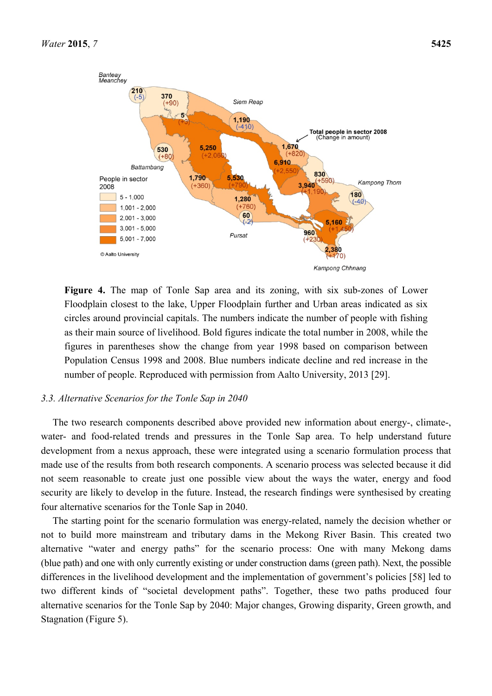

**Figure 4.** The map of Tonle Sap area and its zoning, with six sub-zones of Lower Floodplain closest to the lake, Upper Floodplain further and Urban areas indicated as six circles around provincial capitals. The numbers indicate the number of people with fishing as their main source of livelihood. Bold figures indicate the total number in 2008, while the figures in parentheses show the change from year 1998 based on comparison between Population Census 1998 and 2008. Blue numbers indicate decline and red increase in the number of people. Reproduced with permission from Aalto University, 2013 [29].

## *3.3. Alternative Scenarios for the Tonle Sap in 2040*

The two research components described above provided new information about energy-, climate-, water- and food-related trends and pressures in the Tonle Sap area. To help understand future development from a nexus approach, these were integrated using a scenario formulation process that made use of the results from both research components. A scenario process was selected because it did not seem reasonable to create just one possible view about the ways the water, energy and food security are likely to develop in the future. Instead, the research findings were synthesised by creating four alternative scenarios for the Tonle Sap in 2040.

The starting point for the scenario formulation was energy-related, namely the decision whether or not to build more mainstream and tributary dams in the Mekong River Basin. This created two alternative "water and energy paths" for the scenario process: One with many Mekong dams (blue path) and one with only currently existing or under construction dams (green path). Next, the possible differences in the livelihood development and the implementation of government's policies [58] led to two different kinds of "societal development paths". Together, these two paths produced four alternative scenarios for the Tonle Sap by 2040: Major changes, Growing disparity, Green growth, and Stagnation (Figure 5).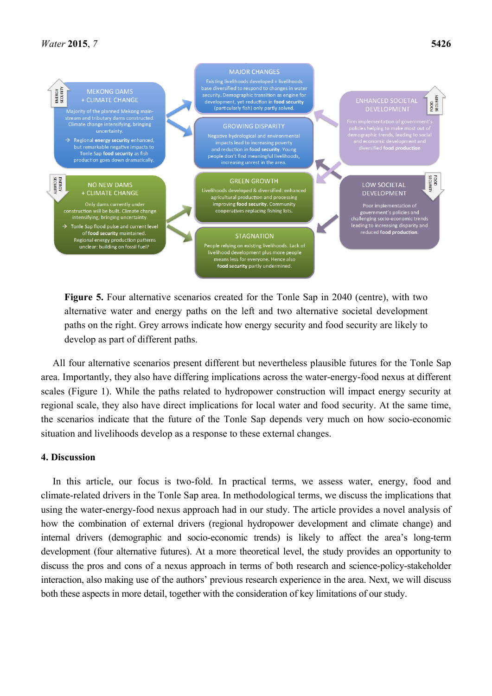

**Figure 5.** Four alternative scenarios created for the Tonle Sap in 2040 (centre), with two alternative water and energy paths on the left and two alternative societal development paths on the right. Grey arrows indicate how energy security and food security are likely to develop as part of different paths.

All four alternative scenarios present different but nevertheless plausible futures for the Tonle Sap area. Importantly, they also have differing implications across the water-energy-food nexus at different scales (Figure 1). While the paths related to hydropower construction will impact energy security at regional scale, they also have direct implications for local water and food security. At the same time, the scenarios indicate that the future of the Tonle Sap depends very much on how socio-economic situation and livelihoods develop as a response to these external changes.

## **4. Discussion**

In this article, our focus is two-fold. In practical terms, we assess water, energy, food and climate-related drivers in the Tonle Sap area. In methodological terms, we discuss the implications that using the water-energy-food nexus approach had in our study. The article provides a novel analysis of how the combination of external drivers (regional hydropower development and climate change) and internal drivers (demographic and socio-economic trends) is likely to affect the area's long-term development (four alternative futures). At a more theoretical level, the study provides an opportunity to discuss the pros and cons of a nexus approach in terms of both research and science-policy-stakeholder interaction, also making use of the authors' previous research experience in the area. Next, we will discuss both these aspects in more detail, together with the consideration of key limitations of our study.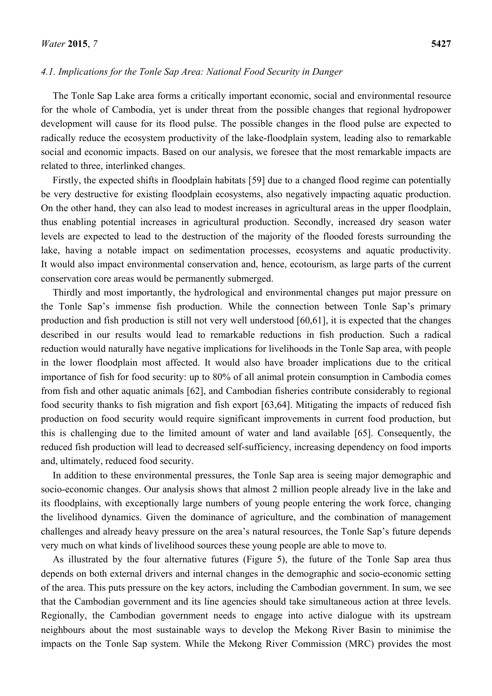#### *4.1. Implications for the Tonle Sap Area: National Food Security in Danger*

The Tonle Sap Lake area forms a critically important economic, social and environmental resource for the whole of Cambodia, yet is under threat from the possible changes that regional hydropower development will cause for its flood pulse. The possible changes in the flood pulse are expected to radically reduce the ecosystem productivity of the lake-floodplain system, leading also to remarkable social and economic impacts. Based on our analysis, we foresee that the most remarkable impacts are related to three, interlinked changes.

Firstly, the expected shifts in floodplain habitats [59] due to a changed flood regime can potentially be very destructive for existing floodplain ecosystems, also negatively impacting aquatic production. On the other hand, they can also lead to modest increases in agricultural areas in the upper floodplain, thus enabling potential increases in agricultural production. Secondly, increased dry season water levels are expected to lead to the destruction of the majority of the flooded forests surrounding the lake, having a notable impact on sedimentation processes, ecosystems and aquatic productivity. It would also impact environmental conservation and, hence, ecotourism, as large parts of the current conservation core areas would be permanently submerged.

Thirdly and most importantly, the hydrological and environmental changes put major pressure on the Tonle Sap's immense fish production. While the connection between Tonle Sap's primary production and fish production is still not very well understood [60,61], it is expected that the changes described in our results would lead to remarkable reductions in fish production. Such a radical reduction would naturally have negative implications for livelihoods in the Tonle Sap area, with people in the lower floodplain most affected. It would also have broader implications due to the critical importance of fish for food security: up to 80% of all animal protein consumption in Cambodia comes from fish and other aquatic animals [62], and Cambodian fisheries contribute considerably to regional food security thanks to fish migration and fish export [63,64]. Mitigating the impacts of reduced fish production on food security would require significant improvements in current food production, but this is challenging due to the limited amount of water and land available [65]. Consequently, the reduced fish production will lead to decreased self-sufficiency, increasing dependency on food imports and, ultimately, reduced food security.

In addition to these environmental pressures, the Tonle Sap area is seeing major demographic and socio-economic changes. Our analysis shows that almost 2 million people already live in the lake and its floodplains, with exceptionally large numbers of young people entering the work force, changing the livelihood dynamics. Given the dominance of agriculture, and the combination of management challenges and already heavy pressure on the area's natural resources, the Tonle Sap's future depends very much on what kinds of livelihood sources these young people are able to move to.

As illustrated by the four alternative futures (Figure 5), the future of the Tonle Sap area thus depends on both external drivers and internal changes in the demographic and socio-economic setting of the area. This puts pressure on the key actors, including the Cambodian government. In sum, we see that the Cambodian government and its line agencies should take simultaneous action at three levels. Regionally, the Cambodian government needs to engage into active dialogue with its upstream neighbours about the most sustainable ways to develop the Mekong River Basin to minimise the impacts on the Tonle Sap system. While the Mekong River Commission (MRC) provides the most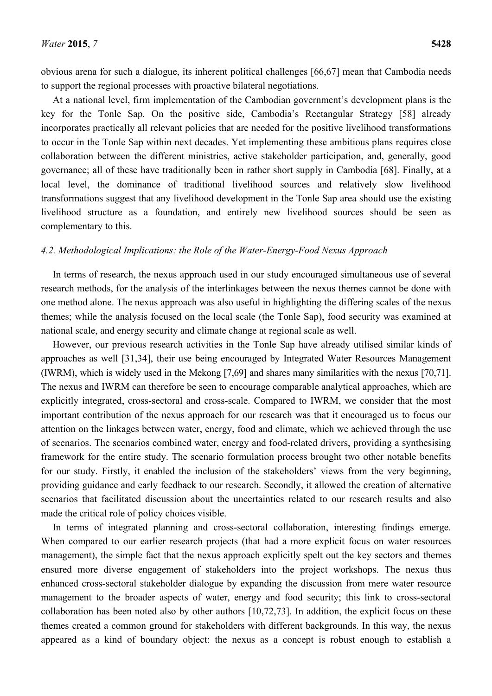obvious arena for such a dialogue, its inherent political challenges [66,67] mean that Cambodia needs to support the regional processes with proactive bilateral negotiations.

At a national level, firm implementation of the Cambodian government's development plans is the key for the Tonle Sap. On the positive side, Cambodia's Rectangular Strategy [58] already incorporates practically all relevant policies that are needed for the positive livelihood transformations to occur in the Tonle Sap within next decades. Yet implementing these ambitious plans requires close collaboration between the different ministries, active stakeholder participation, and, generally, good governance; all of these have traditionally been in rather short supply in Cambodia [68]. Finally, at a local level, the dominance of traditional livelihood sources and relatively slow livelihood transformations suggest that any livelihood development in the Tonle Sap area should use the existing livelihood structure as a foundation, and entirely new livelihood sources should be seen as complementary to this.

## *4.2. Methodological Implications: the Role of the Water-Energy-Food Nexus Approach*

In terms of research, the nexus approach used in our study encouraged simultaneous use of several research methods, for the analysis of the interlinkages between the nexus themes cannot be done with one method alone. The nexus approach was also useful in highlighting the differing scales of the nexus themes; while the analysis focused on the local scale (the Tonle Sap), food security was examined at national scale, and energy security and climate change at regional scale as well.

However, our previous research activities in the Tonle Sap have already utilised similar kinds of approaches as well [31,34], their use being encouraged by Integrated Water Resources Management (IWRM), which is widely used in the Mekong [7,69] and shares many similarities with the nexus [70,71]. The nexus and IWRM can therefore be seen to encourage comparable analytical approaches, which are explicitly integrated, cross-sectoral and cross-scale. Compared to IWRM, we consider that the most important contribution of the nexus approach for our research was that it encouraged us to focus our attention on the linkages between water, energy, food and climate, which we achieved through the use of scenarios. The scenarios combined water, energy and food-related drivers, providing a synthesising framework for the entire study. The scenario formulation process brought two other notable benefits for our study. Firstly, it enabled the inclusion of the stakeholders' views from the very beginning, providing guidance and early feedback to our research. Secondly, it allowed the creation of alternative scenarios that facilitated discussion about the uncertainties related to our research results and also made the critical role of policy choices visible.

In terms of integrated planning and cross-sectoral collaboration, interesting findings emerge. When compared to our earlier research projects (that had a more explicit focus on water resources management), the simple fact that the nexus approach explicitly spelt out the key sectors and themes ensured more diverse engagement of stakeholders into the project workshops. The nexus thus enhanced cross-sectoral stakeholder dialogue by expanding the discussion from mere water resource management to the broader aspects of water, energy and food security; this link to cross-sectoral collaboration has been noted also by other authors [10,72,73]. In addition, the explicit focus on these themes created a common ground for stakeholders with different backgrounds. In this way, the nexus appeared as a kind of boundary object: the nexus as a concept is robust enough to establish a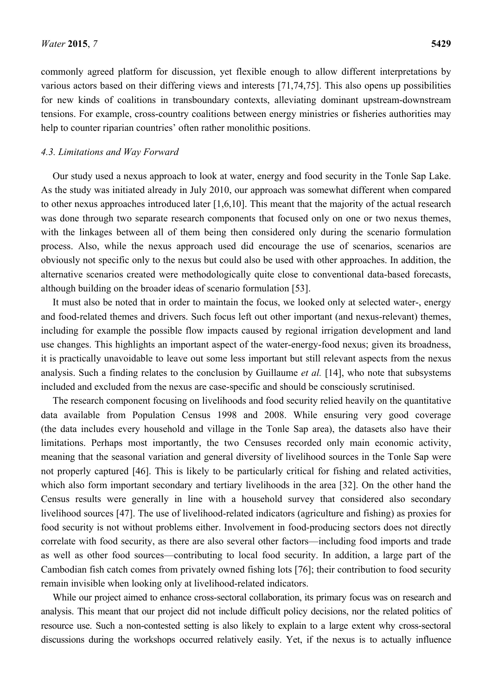commonly agreed platform for discussion, yet flexible enough to allow different interpretations by various actors based on their differing views and interests [71,74,75]. This also opens up possibilities for new kinds of coalitions in transboundary contexts, alleviating dominant upstream-downstream tensions. For example, cross-country coalitions between energy ministries or fisheries authorities may help to counter riparian countries' often rather monolithic positions.

## *4.3. Limitations and Way Forward*

Our study used a nexus approach to look at water, energy and food security in the Tonle Sap Lake. As the study was initiated already in July 2010, our approach was somewhat different when compared to other nexus approaches introduced later [1,6,10]. This meant that the majority of the actual research was done through two separate research components that focused only on one or two nexus themes, with the linkages between all of them being then considered only during the scenario formulation process. Also, while the nexus approach used did encourage the use of scenarios, scenarios are obviously not specific only to the nexus but could also be used with other approaches. In addition, the alternative scenarios created were methodologically quite close to conventional data-based forecasts, although building on the broader ideas of scenario formulation [53].

It must also be noted that in order to maintain the focus, we looked only at selected water-, energy and food-related themes and drivers. Such focus left out other important (and nexus-relevant) themes, including for example the possible flow impacts caused by regional irrigation development and land use changes. This highlights an important aspect of the water-energy-food nexus; given its broadness, it is practically unavoidable to leave out some less important but still relevant aspects from the nexus analysis. Such a finding relates to the conclusion by Guillaume *et al.* [14], who note that subsystems included and excluded from the nexus are case-specific and should be consciously scrutinised.

The research component focusing on livelihoods and food security relied heavily on the quantitative data available from Population Census 1998 and 2008. While ensuring very good coverage (the data includes every household and village in the Tonle Sap area), the datasets also have their limitations. Perhaps most importantly, the two Censuses recorded only main economic activity, meaning that the seasonal variation and general diversity of livelihood sources in the Tonle Sap were not properly captured [46]. This is likely to be particularly critical for fishing and related activities, which also form important secondary and tertiary livelihoods in the area [32]. On the other hand the Census results were generally in line with a household survey that considered also secondary livelihood sources [47]. The use of livelihood-related indicators (agriculture and fishing) as proxies for food security is not without problems either. Involvement in food-producing sectors does not directly correlate with food security, as there are also several other factors—including food imports and trade as well as other food sources—contributing to local food security. In addition, a large part of the Cambodian fish catch comes from privately owned fishing lots [76]; their contribution to food security remain invisible when looking only at livelihood-related indicators.

While our project aimed to enhance cross-sectoral collaboration, its primary focus was on research and analysis. This meant that our project did not include difficult policy decisions, nor the related politics of resource use. Such a non-contested setting is also likely to explain to a large extent why cross-sectoral discussions during the workshops occurred relatively easily. Yet, if the nexus is to actually influence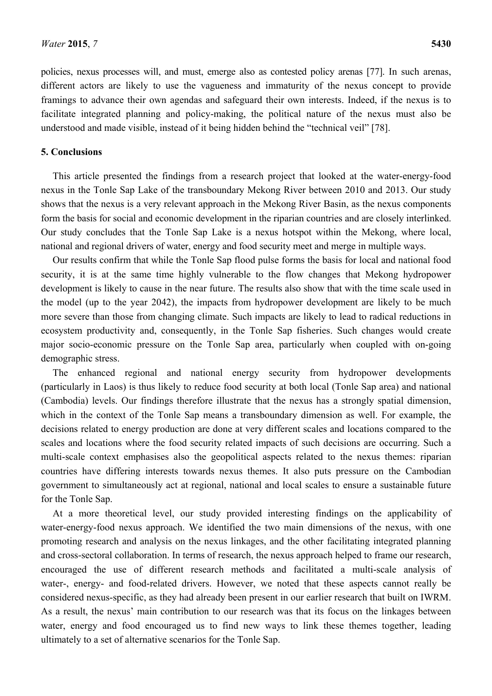policies, nexus processes will, and must, emerge also as contested policy arenas [77]. In such arenas, different actors are likely to use the vagueness and immaturity of the nexus concept to provide framings to advance their own agendas and safeguard their own interests. Indeed, if the nexus is to facilitate integrated planning and policy-making, the political nature of the nexus must also be understood and made visible, instead of it being hidden behind the "technical veil" [78].

## **5. Conclusions**

This article presented the findings from a research project that looked at the water-energy-food nexus in the Tonle Sap Lake of the transboundary Mekong River between 2010 and 2013. Our study shows that the nexus is a very relevant approach in the Mekong River Basin, as the nexus components form the basis for social and economic development in the riparian countries and are closely interlinked. Our study concludes that the Tonle Sap Lake is a nexus hotspot within the Mekong, where local, national and regional drivers of water, energy and food security meet and merge in multiple ways.

Our results confirm that while the Tonle Sap flood pulse forms the basis for local and national food security, it is at the same time highly vulnerable to the flow changes that Mekong hydropower development is likely to cause in the near future. The results also show that with the time scale used in the model (up to the year 2042), the impacts from hydropower development are likely to be much more severe than those from changing climate. Such impacts are likely to lead to radical reductions in ecosystem productivity and, consequently, in the Tonle Sap fisheries. Such changes would create major socio-economic pressure on the Tonle Sap area, particularly when coupled with on-going demographic stress.

The enhanced regional and national energy security from hydropower developments (particularly in Laos) is thus likely to reduce food security at both local (Tonle Sap area) and national (Cambodia) levels. Our findings therefore illustrate that the nexus has a strongly spatial dimension, which in the context of the Tonle Sap means a transboundary dimension as well. For example, the decisions related to energy production are done at very different scales and locations compared to the scales and locations where the food security related impacts of such decisions are occurring. Such a multi-scale context emphasises also the geopolitical aspects related to the nexus themes: riparian countries have differing interests towards nexus themes. It also puts pressure on the Cambodian government to simultaneously act at regional, national and local scales to ensure a sustainable future for the Tonle Sap.

At a more theoretical level, our study provided interesting findings on the applicability of water-energy-food nexus approach. We identified the two main dimensions of the nexus, with one promoting research and analysis on the nexus linkages, and the other facilitating integrated planning and cross-sectoral collaboration. In terms of research, the nexus approach helped to frame our research, encouraged the use of different research methods and facilitated a multi-scale analysis of water-, energy- and food-related drivers. However, we noted that these aspects cannot really be considered nexus-specific, as they had already been present in our earlier research that built on IWRM. As a result, the nexus' main contribution to our research was that its focus on the linkages between water, energy and food encouraged us to find new ways to link these themes together, leading ultimately to a set of alternative scenarios for the Tonle Sap.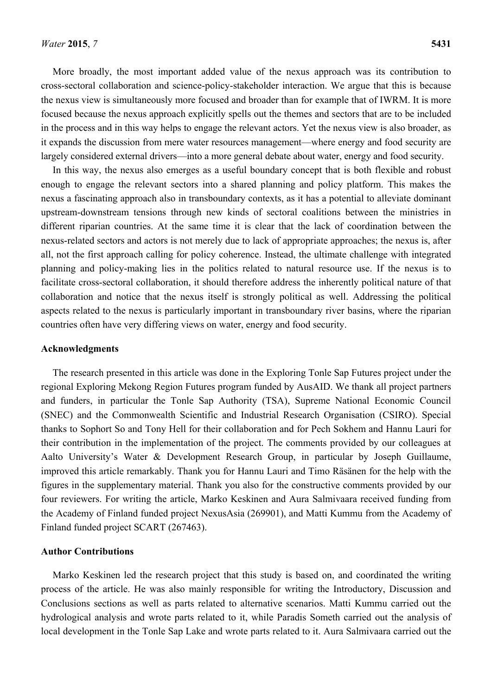More broadly, the most important added value of the nexus approach was its contribution to cross-sectoral collaboration and science-policy-stakeholder interaction. We argue that this is because the nexus view is simultaneously more focused and broader than for example that of IWRM. It is more focused because the nexus approach explicitly spells out the themes and sectors that are to be included in the process and in this way helps to engage the relevant actors. Yet the nexus view is also broader, as it expands the discussion from mere water resources management—where energy and food security are largely considered external drivers—into a more general debate about water, energy and food security.

In this way, the nexus also emerges as a useful boundary concept that is both flexible and robust enough to engage the relevant sectors into a shared planning and policy platform. This makes the nexus a fascinating approach also in transboundary contexts, as it has a potential to alleviate dominant upstream-downstream tensions through new kinds of sectoral coalitions between the ministries in different riparian countries. At the same time it is clear that the lack of coordination between the nexus-related sectors and actors is not merely due to lack of appropriate approaches; the nexus is, after all, not the first approach calling for policy coherence. Instead, the ultimate challenge with integrated planning and policy-making lies in the politics related to natural resource use. If the nexus is to facilitate cross-sectoral collaboration, it should therefore address the inherently political nature of that collaboration and notice that the nexus itself is strongly political as well. Addressing the political aspects related to the nexus is particularly important in transboundary river basins, where the riparian countries often have very differing views on water, energy and food security.

## **Acknowledgments**

The research presented in this article was done in the Exploring Tonle Sap Futures project under the regional Exploring Mekong Region Futures program funded by AusAID. We thank all project partners and funders, in particular the Tonle Sap Authority (TSA), Supreme National Economic Council (SNEC) and the Commonwealth Scientific and Industrial Research Organisation (CSIRO). Special thanks to Sophort So and Tony Hell for their collaboration and for Pech Sokhem and Hannu Lauri for their contribution in the implementation of the project. The comments provided by our colleagues at Aalto University's Water & Development Research Group, in particular by Joseph Guillaume, improved this article remarkably. Thank you for Hannu Lauri and Timo Räsänen for the help with the figures in the supplementary material. Thank you also for the constructive comments provided by our four reviewers. For writing the article, Marko Keskinen and Aura Salmivaara received funding from the Academy of Finland funded project NexusAsia (269901), and Matti Kummu from the Academy of Finland funded project SCART (267463).

## **Author Contributions**

Marko Keskinen led the research project that this study is based on, and coordinated the writing process of the article. He was also mainly responsible for writing the Introductory, Discussion and Conclusions sections as well as parts related to alternative scenarios. Matti Kummu carried out the hydrological analysis and wrote parts related to it, while Paradis Someth carried out the analysis of local development in the Tonle Sap Lake and wrote parts related to it. Aura Salmivaara carried out the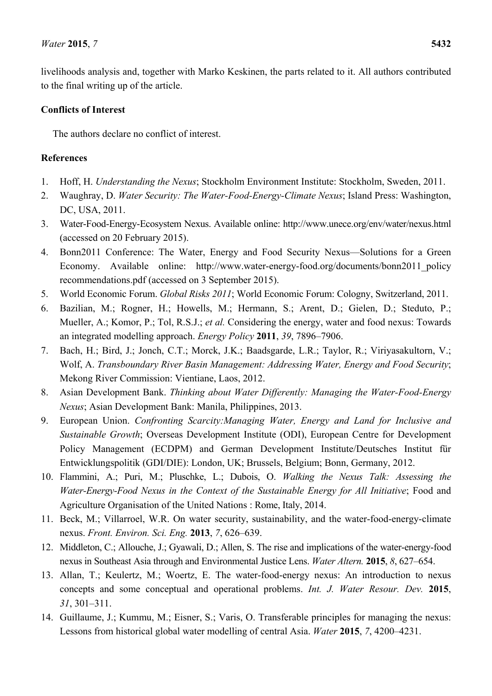livelihoods analysis and, together with Marko Keskinen, the parts related to it. All authors contributed to the final writing up of the article.

## **Conflicts of Interest**

The authors declare no conflict of interest.

# **References**

- 1. Hoff, H. *Understanding the Nexus*; Stockholm Environment Institute: Stockholm, Sweden, 2011.
- 2. Waughray, D. *Water Security: The Water-Food-Energy-Climate Nexus*; Island Press: Washington, DC, USA, 2011.
- 3. Water-Food-Energy-Ecosystem Nexus. Available online: http://www.unece.org/env/water/nexus.html (accessed on 20 February 2015).
- 4. Bonn2011 Conference: The Water, Energy and Food Security Nexus—Solutions for a Green Economy. Available online: http://www.water-energy-food.org/documents/bonn2011 policy recommendations.pdf (accessed on 3 September 2015).
- 5. World Economic Forum. *Global Risks 2011*; World Economic Forum: Cologny, Switzerland, 2011.
- 6. Bazilian, M.; Rogner, H.; Howells, M.; Hermann, S.; Arent, D.; Gielen, D.; Steduto, P.; Mueller, A.; Komor, P.; Tol, R.S.J.; *et al.* Considering the energy, water and food nexus: Towards an integrated modelling approach. *Energy Policy* **2011**, *39*, 7896–7906.
- 7. Bach, H.; Bird, J.; Jonch, C.T.; Morck, J.K.; Baadsgarde, L.R.; Taylor, R.; Viriyasakultorn, V.; Wolf, A. *Transboundary River Basin Management: Addressing Water, Energy and Food Security*; Mekong River Commission: Vientiane, Laos, 2012.
- 8. Asian Development Bank. *Thinking about Water Differently: Managing the Water-Food-Energy Nexus*; Asian Development Bank: Manila, Philippines, 2013.
- 9. European Union. *Confronting Scarcity:Managing Water, Energy and Land for Inclusive and Sustainable Growth*; Overseas Development Institute (ODI), European Centre for Development Policy Management (ECDPM) and German Development Institute/Deutsches Institut für Entwicklungspolitik (GDI/DIE): London, UK; Brussels, Belgium; Bonn, Germany, 2012.
- 10. Flammini, A.; Puri, M.; Pluschke, L.; Dubois, O. *Walking the Nexus Talk: Assessing the Water-Energy-Food Nexus in the Context of the Sustainable Energy for All Initiative*; Food and Agriculture Organisation of the United Nations : Rome, Italy, 2014.
- 11. Beck, M.; Villarroel, W.R. On water security, sustainability, and the water-food-energy-climate nexus. *Front. Environ. Sci. Eng.* **2013**, *7*, 626–639.
- 12. Middleton, C.; Allouche, J.; Gyawali, D.; Allen, S. The rise and implications of the water-energy-food nexus in Southeast Asia through and Environmental Justice Lens. *Water Altern.* **2015**, *8*, 627–654.
- 13. Allan, T.; Keulertz, M.; Woertz, E. The water-food-energy nexus: An introduction to nexus concepts and some conceptual and operational problems. *Int. J. Water Resour. Dev.* **2015**, *31*, 301–311.
- 14. Guillaume, J.; Kummu, M.; Eisner, S.; Varis, O. Transferable principles for managing the nexus: Lessons from historical global water modelling of central Asia. *Water* **2015**, *7*, 4200–4231.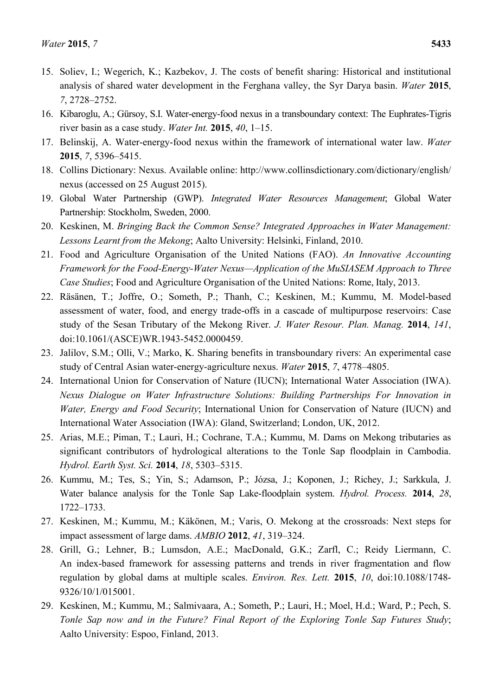- 15. Soliev, I.; Wegerich, K.; Kazbekov, J. The costs of benefit sharing: Historical and institutional analysis of shared water development in the Ferghana valley, the Syr Darya basin. *Water* **2015**, *7*, 2728–2752.
- 16. Kibaroglu, A.; Gürsoy, S.I. Water-energy-food nexus in a transboundary context: The Euphrates-Tigris river basin as a case study. *Water Int.* **2015**, *40*, 1–15.
- 17. Belinskij, A. Water-energy-food nexus within the framework of international water law. *Water* **2015**, *7*, 5396–5415.
- 18. Collins Dictionary: Nexus. Available online: http://www.collinsdictionary.com/dictionary/english/ nexus (accessed on 25 August 2015).
- 19. Global Water Partnership (GWP). *Integrated Water Resources Management*; Global Water Partnership: Stockholm, Sweden, 2000.
- 20. Keskinen, M. *Bringing Back the Common Sense? Integrated Approaches in Water Management: Lessons Learnt from the Mekong*; Aalto University: Helsinki, Finland, 2010.
- 21. Food and Agriculture Organisation of the United Nations (FAO). *An Innovative Accounting Framework for the Food-Energy-Water Nexus—Application of the MuSIASEM Approach to Three Case Studies*; Food and Agriculture Organisation of the United Nations: Rome, Italy, 2013.
- 22. Räsänen, T.; Joffre, O.; Someth, P.; Thanh, C.; Keskinen, M.; Kummu, M. Model-based assessment of water, food, and energy trade-offs in a cascade of multipurpose reservoirs: Case study of the Sesan Tributary of the Mekong River. *J. Water Resour. Plan. Manag.* **2014**, *141*, doi:10.1061/(ASCE)WR.1943-5452.0000459.
- 23. Jalilov, S.M.; Olli, V.; Marko, K. Sharing benefits in transboundary rivers: An experimental case study of Central Asian water-energy-agriculture nexus. *Water* **2015**, *7*, 4778–4805.
- 24. International Union for Conservation of Nature (IUCN); International Water Association (IWA). *Nexus Dialogue on Water Infrastructure Solutions: Building Partnerships For Innovation in Water, Energy and Food Security*; International Union for Conservation of Nature (IUCN) and International Water Association (IWA): Gland, Switzerland; London, UK, 2012.
- 25. Arias, M.E.; Piman, T.; Lauri, H.; Cochrane, T.A.; Kummu, M. Dams on Mekong tributaries as significant contributors of hydrological alterations to the Tonle Sap floodplain in Cambodia. *Hydrol. Earth Syst. Sci.* **2014**, *18*, 5303–5315.
- 26. Kummu, M.; Tes, S.; Yin, S.; Adamson, P.; Józsa, J.; Koponen, J.; Richey, J.; Sarkkula, J. Water balance analysis for the Tonle Sap Lake-floodplain system. *Hydrol. Process.* **2014**, *28*, 1722–1733.
- 27. Keskinen, M.; Kummu, M.; Käkönen, M.; Varis, O. Mekong at the crossroads: Next steps for impact assessment of large dams. *AMBIO* **2012**, *41*, 319–324.
- 28. Grill, G.; Lehner, B.; Lumsdon, A.E.; MacDonald, G.K.; Zarfl, C.; Reidy Liermann, C. An index-based framework for assessing patterns and trends in river fragmentation and flow regulation by global dams at multiple scales. *Environ. Res. Lett.* **2015**, *10*, doi:10.1088/1748- 9326/10/1/015001.
- 29. Keskinen, M.; Kummu, M.; Salmivaara, A.; Someth, P.; Lauri, H.; Moel, H.d.; Ward, P.; Pech, S. *Tonle Sap now and in the Future? Final Report of the Exploring Tonle Sap Futures Study*; Aalto University: Espoo, Finland, 2013.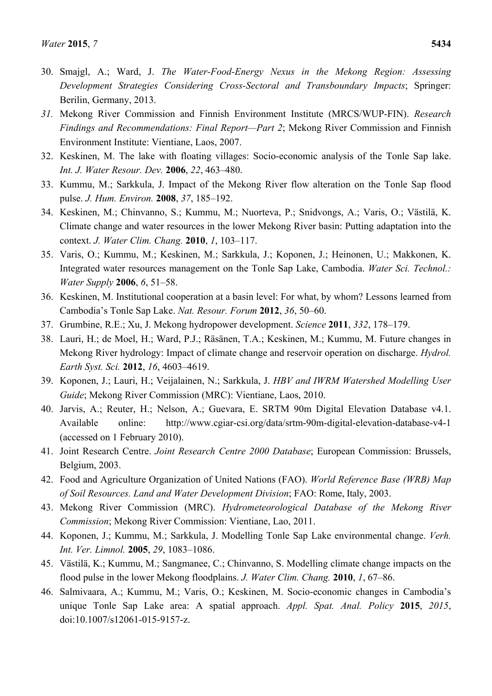- 30. Smajgl, A.; Ward, J. *The Water-Food-Energy Nexus in the Mekong Region: Assessing Development Strategies Considering Cross-Sectoral and Transboundary Impacts*; Springer: Berilin, Germany, 2013.
- *31.* Mekong River Commission and Finnish Environment Institute (MRCS/WUP-FIN). *Research Findings and Recommendations: Final Report—Part 2*; Mekong River Commission and Finnish Environment Institute: Vientiane, Laos, 2007.
- 32. Keskinen, M. The lake with floating villages: Socio-economic analysis of the Tonle Sap lake. *Int. J. Water Resour. Dev.* **2006**, *22*, 463–480.
- 33. Kummu, M.; Sarkkula, J. Impact of the Mekong River flow alteration on the Tonle Sap flood pulse. *J. Hum. Environ.* **2008**, *37*, 185–192.
- 34. Keskinen, M.; Chinvanno, S.; Kummu, M.; Nuorteva, P.; Snidvongs, A.; Varis, O.; Västilä, K. Climate change and water resources in the lower Mekong River basin: Putting adaptation into the context. *J. Water Clim. Chang.* **2010**, *1*, 103–117.
- 35. Varis, O.; Kummu, M.; Keskinen, M.; Sarkkula, J.; Koponen, J.; Heinonen, U.; Makkonen, K. Integrated water resources management on the Tonle Sap Lake, Cambodia. *Water Sci. Technol.: Water Supply* **2006**, *6*, 51–58.
- 36. Keskinen, M. Institutional cooperation at a basin level: For what, by whom? Lessons learned from Cambodia's Tonle Sap Lake. *Nat. Resour. Forum* **2012**, *36*, 50–60.
- 37. Grumbine, R.E.; Xu, J. Mekong hydropower development. *Science* **2011**, *332*, 178–179.
- 38. Lauri, H.; de Moel, H.; Ward, P.J.; Räsänen, T.A.; Keskinen, M.; Kummu, M. Future changes in Mekong River hydrology: Impact of climate change and reservoir operation on discharge. *Hydrol. Earth Syst. Sci.* **2012**, *16*, 4603–4619.
- 39. Koponen, J.; Lauri, H.; Veijalainen, N.; Sarkkula, J. *HBV and IWRM Watershed Modelling User Guide*; Mekong River Commission (MRC): Vientiane, Laos, 2010.
- 40. Jarvis, A.; Reuter, H.; Nelson, A.; Guevara, E. SRTM 90m Digital Elevation Database v4.1. Available online: http://www.cgiar-csi.org/data/srtm-90m-digital-elevation-database-v4-1 (accessed on 1 February 2010).
- 41. Joint Research Centre. *Joint Research Centre 2000 Database*; European Commission: Brussels, Belgium, 2003.
- 42. Food and Agriculture Organization of United Nations (FAO). *World Reference Base (WRB) Map of Soil Resources. Land and Water Development Division*; FAO: Rome, Italy, 2003.
- 43. Mekong River Commission (MRC). *Hydrometeorological Database of the Mekong River Commission*; Mekong River Commission: Vientiane, Lao, 2011.
- 44. Koponen, J.; Kummu, M.; Sarkkula, J. Modelling Tonle Sap Lake environmental change. *Verh. Int. Ver. Limnol.* **2005**, *29*, 1083–1086.
- 45. Västilä, K.; Kummu, M.; Sangmanee, C.; Chinvanno, S. Modelling climate change impacts on the flood pulse in the lower Mekong floodplains. *J. Water Clim. Chang.* **2010**, *1*, 67–86.
- 46. Salmivaara, A.; Kummu, M.; Varis, O.; Keskinen, M. Socio-economic changes in Cambodia's unique Tonle Sap Lake area: A spatial approach. *Appl. Spat. Anal. Policy* **2015**, *2015*, doi:10.1007/s12061-015-9157-z.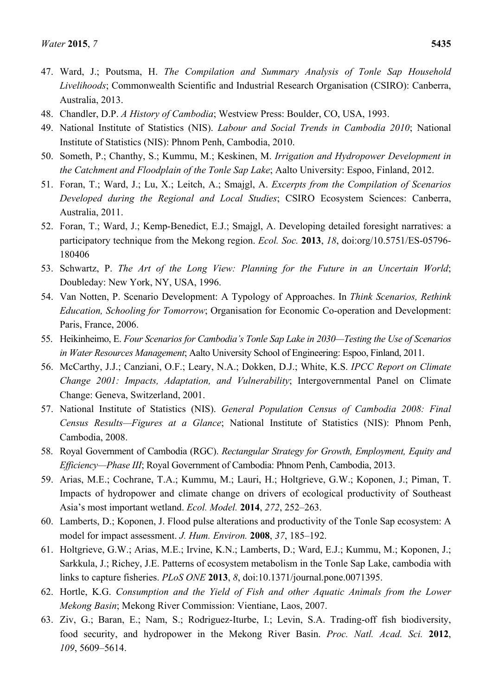- 48. Chandler, D.P. *A History of Cambodia*; Westview Press: Boulder, CO, USA, 1993.
- 49. National Institute of Statistics (NIS). *Labour and Social Trends in Cambodia 2010*; National Institute of Statistics (NIS): Phnom Penh, Cambodia, 2010.
- 50. Someth, P.; Chanthy, S.; Kummu, M.; Keskinen, M. *Irrigation and Hydropower Development in the Catchment and Floodplain of the Tonle Sap Lake*; Aalto University: Espoo, Finland, 2012.
- 51. Foran, T.; Ward, J.; Lu, X.; Leitch, A.; Smajgl, A. *Excerpts from the Compilation of Scenarios Developed during the Regional and Local Studies*; CSIRO Ecosystem Sciences: Canberra, Australia, 2011.
- 52. Foran, T.; Ward, J.; Kemp-Benedict, E.J.; Smajgl, A. Developing detailed foresight narratives: a participatory technique from the Mekong region. *Ecol. Soc.* **2013**, *18*, doi:org/10.5751/ES-05796- 180406
- 53. Schwartz, P. *The Art of the Long View: Planning for the Future in an Uncertain World*; Doubleday: New York, NY, USA, 1996.
- 54. Van Notten, P. Scenario Development: A Typology of Approaches. In *Think Scenarios, Rethink Education, Schooling for Tomorrow*; Organisation for Economic Co-operation and Development: Paris, France, 2006.
- 55. Heikinheimo, E. *Four Scenarios for Cambodia's Tonle Sap Lake in 2030—Testing the Use of Scenarios in Water Resources Management*; Aalto University School of Engineering: Espoo, Finland, 2011.
- 56. McCarthy, J.J.; Canziani, O.F.; Leary, N.A.; Dokken, D.J.; White, K.S. *IPCC Report on Climate Change 2001: Impacts, Adaptation, and Vulnerability*; Intergovernmental Panel on Climate Change: Geneva, Switzerland, 2001.
- 57. National Institute of Statistics (NIS). *General Population Census of Cambodia 2008: Final Census Results—Figures at a Glance*; National Institute of Statistics (NIS): Phnom Penh, Cambodia, 2008.
- 58. Royal Government of Cambodia (RGC). *Rectangular Strategy for Growth, Employment, Equity and Efficiency—Phase III*; Royal Government of Cambodia: Phnom Penh, Cambodia, 2013.
- 59. Arias, M.E.; Cochrane, T.A.; Kummu, M.; Lauri, H.; Holtgrieve, G.W.; Koponen, J.; Piman, T. Impacts of hydropower and climate change on drivers of ecological productivity of Southeast Asia's most important wetland. *Ecol. Model.* **2014**, *272*, 252–263.
- 60. Lamberts, D.; Koponen, J. Flood pulse alterations and productivity of the Tonle Sap ecosystem: A model for impact assessment. *J. Hum. Environ.* **2008**, *37*, 185–192.
- 61. Holtgrieve, G.W.; Arias, M.E.; Irvine, K.N.; Lamberts, D.; Ward, E.J.; Kummu, M.; Koponen, J.; Sarkkula, J.; Richey, J.E. Patterns of ecosystem metabolism in the Tonle Sap Lake, cambodia with links to capture fisheries. *PLoS ONE* **2013**, *8*, doi:10.1371/journal.pone.0071395.
- 62. Hortle, K.G. *Consumption and the Yield of Fish and other Aquatic Animals from the Lower Mekong Basin*; Mekong River Commission: Vientiane, Laos, 2007.
- 63. Ziv, G.; Baran, E.; Nam, S.; Rodriguez-Iturbe, I.; Levin, S.A. Trading-off fish biodiversity, food security, and hydropower in the Mekong River Basin. *Proc. Natl. Acad. Sci.* **2012**, *109*, 5609–5614.